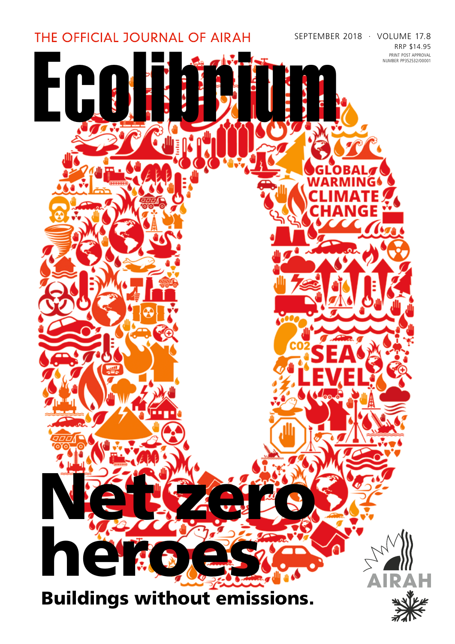